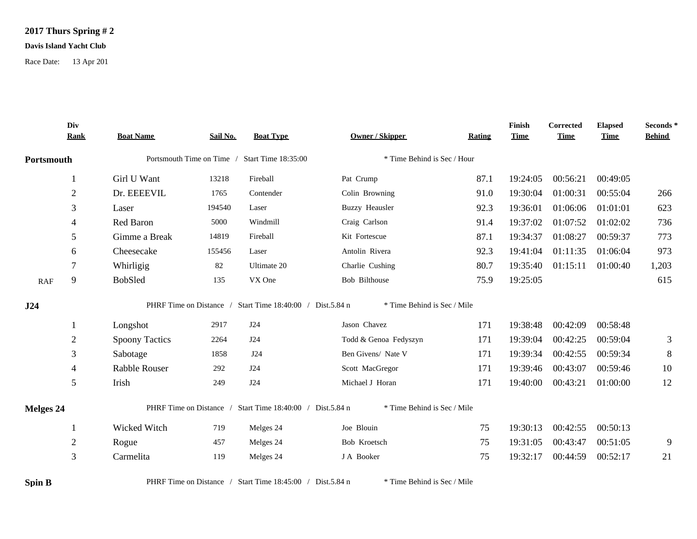## **2017 Thurs Spring # 2**

## **Davis Island Yacht Club**

Race Date: 13 Apr 201

|            | Div<br><b>Rank</b> | <b>Boat Name</b>      | Sail No. | <b>Boat Type</b>                                          | <b>Owner / Skipper</b>      | Rating | Finish<br><b>Time</b> | Corrected<br><b>Time</b> | <b>Elapsed</b><br><b>Time</b> | Seconds*<br><b>Behind</b> |
|------------|--------------------|-----------------------|----------|-----------------------------------------------------------|-----------------------------|--------|-----------------------|--------------------------|-------------------------------|---------------------------|
| Portsmouth |                    |                       |          | Portsmouth Time on Time / Start Time 18:35:00             | * Time Behind is Sec / Hour |        |                       |                          |                               |                           |
|            | 1                  | Girl U Want           | 13218    | Fireball                                                  | Pat Crump                   | 87.1   | 19:24:05              | 00:56:21                 | 00:49:05                      |                           |
|            | $\overline{2}$     | Dr. EEEEVIL           | 1765     | Contender                                                 | Colin Browning              | 91.0   | 19:30:04              | 01:00:31                 | 00:55:04                      | 266                       |
|            | 3                  | Laser                 | 194540   | Laser                                                     | <b>Buzzy Heausler</b>       | 92.3   | 19:36:01              | 01:06:06                 | 01:01:01                      | 623                       |
|            | $\overline{4}$     | Red Baron             | 5000     | Windmill                                                  | Craig Carlson               | 91.4   | 19:37:02              | 01:07:52                 | 01:02:02                      | 736                       |
|            | 5                  | Gimme a Break         | 14819    | Fireball                                                  | Kit Fortescue               | 87.1   | 19:34:37              | 01:08:27                 | 00:59:37                      | 773                       |
|            | 6                  | Cheesecake            | 155456   | Laser                                                     | Antolin Rivera              | 92.3   | 19:41:04              | 01:11:35                 | 01:06:04                      | 973                       |
|            | 7                  | Whirligig             | 82       | Ultimate 20                                               | Charlie Cushing             | 80.7   | 19:35:40              | 01:15:11                 | 01:00:40                      | 1,203                     |
| RAF        | 9                  | BobSled               | 135      | VX One                                                    | Bob Bilthouse               | 75.9   | 19:25:05              |                          |                               | 615                       |
| J24        |                    |                       |          | PHRF Time on Distance / Start Time 18:40:00 / Dist.5.84 n | * Time Behind is Sec / Mile |        |                       |                          |                               |                           |
|            |                    | Longshot              | 2917     | J24                                                       | Jason Chavez                | 171    | 19:38:48              | 00:42:09                 | 00:58:48                      |                           |
|            | $\overline{2}$     | <b>Spoony Tactics</b> | 2264     | J24                                                       | Todd & Genoa Fedyszyn       | 171    | 19:39:04              | 00:42:25                 | 00:59:04                      | 3                         |
|            | 3                  | Sabotage              | 1858     | J24                                                       | Ben Givens/ Nate V          | 171    | 19:39:34              | 00:42:55                 | 00:59:34                      | $8\,$                     |
|            | $\overline{4}$     | <b>Rabble Rouser</b>  | 292      | J24                                                       | Scott MacGregor             | 171    | 19:39:46              | 00:43:07                 | 00:59:46                      | 10                        |
|            | $\mathfrak{S}$     | Irish                 | 249      | J24                                                       | Michael J Horan             | 171    | 19:40:00              | 00:43:21                 | 01:00:00                      | 12                        |
| Melges 24  |                    |                       |          | PHRF Time on Distance / Start Time 18:40:00 / Dist.5.84 n | * Time Behind is Sec / Mile |        |                       |                          |                               |                           |
|            | 1                  | Wicked Witch          | 719      | Melges 24                                                 | Joe Blouin                  | 75     | 19:30:13              | 00:42:55                 | 00:50:13                      |                           |
|            | $\overline{2}$     | Rogue                 | 457      | Melges 24                                                 | Bob Kroetsch                | 75     | 19:31:05              | 00:43:47                 | 00:51:05                      | 9                         |
|            | $\overline{3}$     | Carmelita             | 119      | Melges 24                                                 | J A Booker                  | 75     | 19:32:17              | 00:44:59                 | 00:52:17                      | 21                        |
| Spin B     |                    |                       |          | PHRF Time on Distance / Start Time 18:45:00 / Dist.5.84 n | * Time Behind is Sec / Mile |        |                       |                          |                               |                           |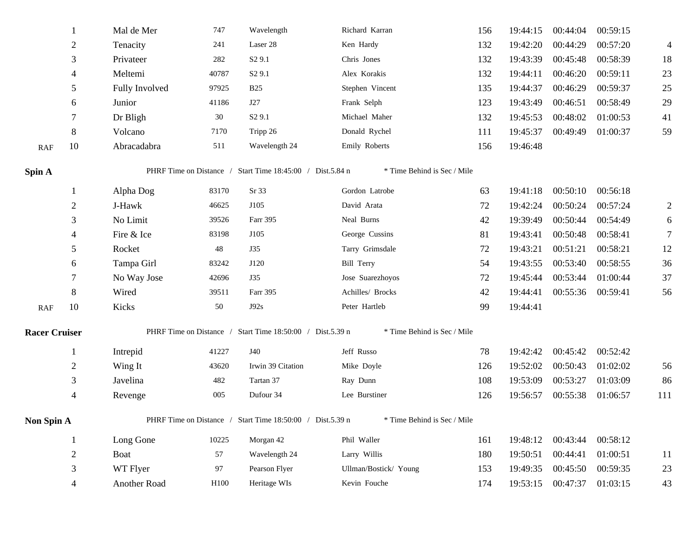|                      |                | Mal de Mer     | 747   | Wavelength                                                | Richard Karran              | 156 | 19:44:15 | 00:44:04          | 00:59:15 |                |
|----------------------|----------------|----------------|-------|-----------------------------------------------------------|-----------------------------|-----|----------|-------------------|----------|----------------|
|                      | $\mathbf{2}$   | Tenacity       | 241   | Laser 28                                                  | Ken Hardy                   | 132 | 19:42:20 | 00:44:29          | 00:57:20 | $\overline{4}$ |
|                      | 3              | Privateer      | 282   | S <sub>2</sub> 9.1                                        | Chris Jones                 | 132 | 19:43:39 | 00:45:48          | 00:58:39 | 18             |
|                      | 4              | Meltemi        | 40787 | S <sub>2</sub> 9.1                                        | Alex Korakis                | 132 | 19:44:11 | 00:46:20          | 00:59:11 | 23             |
|                      | 5              | Fully Involved | 97925 | <b>B25</b>                                                | Stephen Vincent             | 135 | 19:44:37 | 00:46:29          | 00:59:37 | 25             |
|                      | 6              | Junior         | 41186 | J27                                                       | Frank Selph                 | 123 | 19:43:49 | 00:46:51          | 00:58:49 | 29             |
|                      | 7              | Dr Bligh       | 30    | S <sub>2</sub> 9.1                                        | Michael Maher               | 132 | 19:45:53 | 00:48:02          | 01:00:53 | 41             |
|                      | 8              | Volcano        | 7170  | Tripp 26                                                  | Donald Rychel               | 111 | 19:45:37 | 00:49:49          | 01:00:37 | 59             |
| RAF                  | 10             | Abracadabra    | 511   | Wavelength 24                                             | Emily Roberts               | 156 | 19:46:48 |                   |          |                |
| Spin A               |                |                |       | PHRF Time on Distance / Start Time 18:45:00 / Dist.5.84 n | * Time Behind is Sec / Mile |     |          |                   |          |                |
|                      |                | Alpha Dog      | 83170 | Sr 33                                                     | Gordon Latrobe              | 63  | 19:41:18 | 00:50:10          | 00:56:18 |                |
|                      | $\overline{2}$ | J-Hawk         | 46625 | J105                                                      | David Arata                 | 72  | 19:42:24 | 00:50:24          | 00:57:24 | 2              |
|                      | 3              | No Limit       | 39526 | Farr 395                                                  | Neal Burns                  | 42  | 19:39:49 | 00:50:44          | 00:54:49 | 6              |
|                      | 4              | Fire & Ice     | 83198 | J105                                                      | George Cussins              | 81  | 19:43:41 | 00:50:48          | 00:58:41 | $\overline{7}$ |
|                      | 5              | Rocket         | 48    | <b>J35</b>                                                | Tarry Grimsdale             | 72  | 19:43:21 | 00:51:21          | 00:58:21 | 12             |
|                      | 6              | Tampa Girl     | 83242 | J120                                                      | Bill Terry                  | 54  | 19:43:55 | 00:53:40          | 00:58:55 | 36             |
|                      | 7              | No Way Jose    | 42696 | <b>J35</b>                                                | Jose Suarezhoyos            | 72  | 19:45:44 | 00:53:44          | 01:00:44 | 37             |
|                      | 8              | Wired          | 39511 | Farr 395                                                  | Achilles/ Brocks            | 42  | 19:44:41 | 00:55:36          | 00:59:41 | 56             |
| RAF                  | 10             | Kicks          | 50    | J92s                                                      | Peter Hartleb               | 99  | 19:44:41 |                   |          |                |
| <b>Racer Cruiser</b> |                |                |       | PHRF Time on Distance / Start Time 18:50:00 / Dist.5.39 n | * Time Behind is Sec / Mile |     |          |                   |          |                |
|                      | $\mathbf{1}$   | Intrepid       | 41227 | J40                                                       | Jeff Russo                  | 78  | 19:42:42 | 00:45:42 00:52:42 |          |                |
|                      | $\overline{c}$ | Wing It        | 43620 | Irwin 39 Citation                                         | Mike Doyle                  | 126 | 19:52:02 | 00:50:43          | 01:02:02 | 56             |
|                      | 3              | Javelina       | 482   | Tartan 37                                                 | Ray Dunn                    | 108 | 19:53:09 | 00:53:27          | 01:03:09 | 86             |
|                      | 4              | Revenge        | 005   | Dufour 34                                                 | Lee Burstiner               | 126 | 19:56:57 | 00:55:38          | 01:06:57 | 111            |
| Non Spin A           |                |                |       | PHRF Time on Distance / Start Time 18:50:00 / Dist.5.39 n | * Time Behind is Sec / Mile |     |          |                   |          |                |
|                      | $\mathbf{1}$   | Long Gone      | 10225 | Morgan 42                                                 | Phil Waller                 | 161 | 19:48:12 | 00:43:44          | 00:58:12 |                |
|                      | $\overline{c}$ | Boat           | 57    | Wavelength 24                                             | Larry Willis                | 180 | 19:50:51 | 00:44:41          | 01:00:51 | 11             |
|                      | 3              | WT Flyer       | 97    | Pearson Flyer                                             | Ullman/Bostick/ Young       | 153 | 19:49:35 | 00:45:50          | 00:59:35 | 23             |
|                      | 4              | Another Road   | H100  | Heritage WIs                                              | Kevin Fouche                | 174 | 19:53:15 | 00:47:37          | 01:03:15 | 43             |